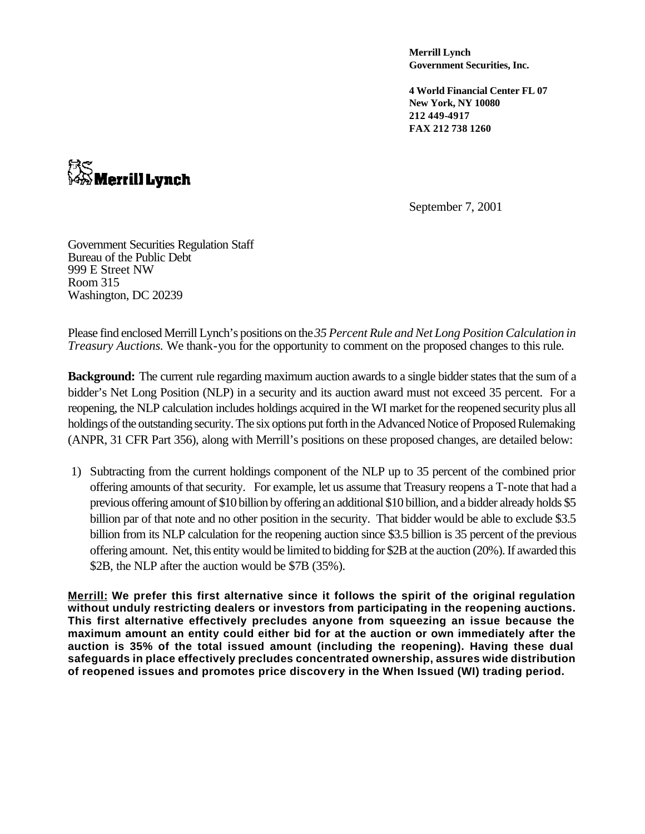**Merrill Lynch Government Securities, Inc.**

**4 World Financial Center FL 07 New York, NY 10080 212 449-4917 FAX 212 738 1260**



September 7, 2001

Government Securities Regulation Staff Bureau of the Public Debt 999 E Street NW Room 315 Washington, DC 20239

Please find enclosed Merrill Lynch's positions on the *35 Percent Rule and Net Long Position Calculation in Treasury Auctions.* We thank-you for the opportunity to comment on the proposed changes to this rule.

**Background:** The current rule regarding maximum auction awards to a single bidder states that the sum of a bidder's Net Long Position (NLP) in a security and its auction award must not exceed 35 percent. For a reopening, the NLP calculation includes holdings acquired in the WI market for the reopened security plus all holdings of the outstanding security. The six options put forth in the Advanced Notice of Proposed Rulemaking (ANPR, 31 CFR Part 356), along with Merrill's positions on these proposed changes, are detailed below:

1) Subtracting from the current holdings component of the NLP up to 35 percent of the combined prior offering amounts of that security. For example, let us assume that Treasury reopens a T-note that had a previous offering amount of \$10 billion by offering an additional \$10 billion, and a bidder already holds \$5 billion par of that note and no other position in the security. That bidder would be able to exclude \$3.5 billion from its NLP calculation for the reopening auction since \$3.5 billion is 35 percent of the previous offering amount. Net, this entity would be limited to bidding for \$2B at the auction (20%). If awarded this \$2B, the NLP after the auction would be \$7B (35%).

**Merrill: We prefer this first alternative since it follows the spirit of the original regulation without unduly restricting dealers or investors from participating in the reopening auctions. This first alternative effectively precludes anyone from squeezing an issue because the maximum amount an entity could either bid for at the auction or own immediately after the auction is 35% of the total issued amount (including the reopening). Having these dual safeguards in place effectively precludes concentrated ownership, assures wide distribution of reopened issues and promotes price discovery in the When Issued (WI) trading period.**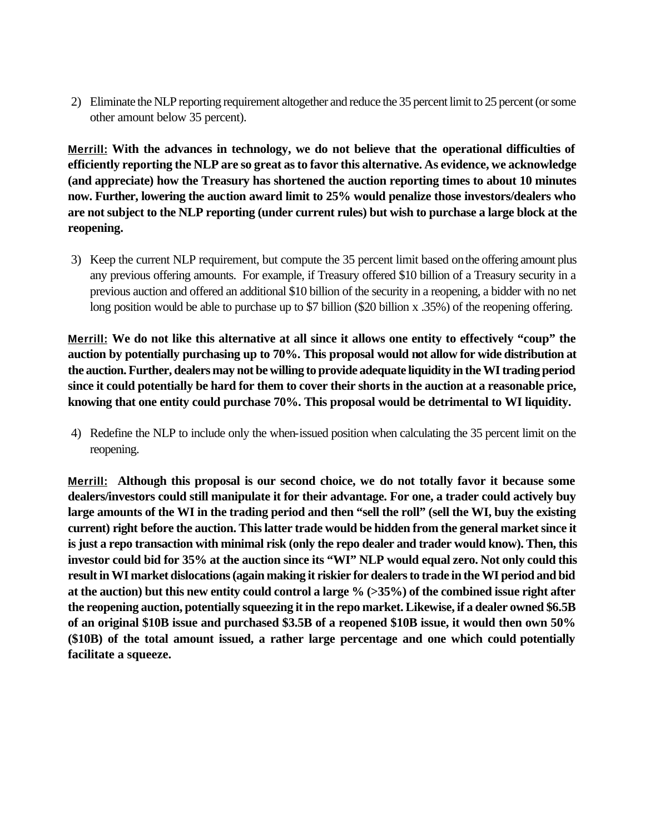2) Eliminate the NLP reporting requirement altogether and reduce the 35 percent limit to 25 percent (or some other amount below 35 percent).

**Merrill: With the advances in technology, we do not believe that the operational difficulties of efficiently reporting the NLP are so great as to favor this alternative. As evidence, we acknowledge (and appreciate) how the Treasury has shortened the auction reporting times to about 10 minutes now. Further, lowering the auction award limit to 25% would penalize those investors/dealers who are not subject to the NLP reporting (under current rules) but wish to purchase a large block at the reopening.** 

3) Keep the current NLP requirement, but compute the 35 percent limit based on the offering amount plus any previous offering amounts. For example, if Treasury offered \$10 billion of a Treasury security in a previous auction and offered an additional \$10 billion of the security in a reopening, a bidder with no net long position would be able to purchase up to \$7 billion (\$20 billion x .35%) of the reopening offering.

**Merrill: We do not like this alternative at all since it allows one entity to effectively "coup" the auction by potentially purchasing up to 70%. This proposal would not allow for wide distribution at the auction. Further, dealers may not be willing to provide adequate liquidity in the WI trading period since it could potentially be hard for them to cover their shorts in the auction at a reasonable price, knowing that one entity could purchase 70%. This proposal would be detrimental to WI liquidity.**

4) Redefine the NLP to include only the when-issued position when calculating the 35 percent limit on the reopening.

**Merrill: Although this proposal is our second choice, we do not totally favor it because some dealers/investors could still manipulate it for their advantage. For one, a trader could actively buy large amounts of the WI in the trading period and then "sell the roll" (sell the WI, buy the existing current) right before the auction. This latter trade would be hidden from the general market since it is just a repo transaction with minimal risk (only the repo dealer and trader would know). Then, this investor could bid for 35% at the auction since its "WI" NLP would equal zero. Not only could this result in WI market dislocations (again making it riskier for dealers to trade in the WI period and bid at the auction) but this new entity could control a large % (>35%) of the combined issue right after the reopening auction, potentially squeezing it in the repo market. Likewise, if a dealer owned \$6.5B of an original \$10B issue and purchased \$3.5B of a reopened \$10B issue, it would then own 50% (\$10B) of the total amount issued, a rather large percentage and one which could potentially facilitate a squeeze.**